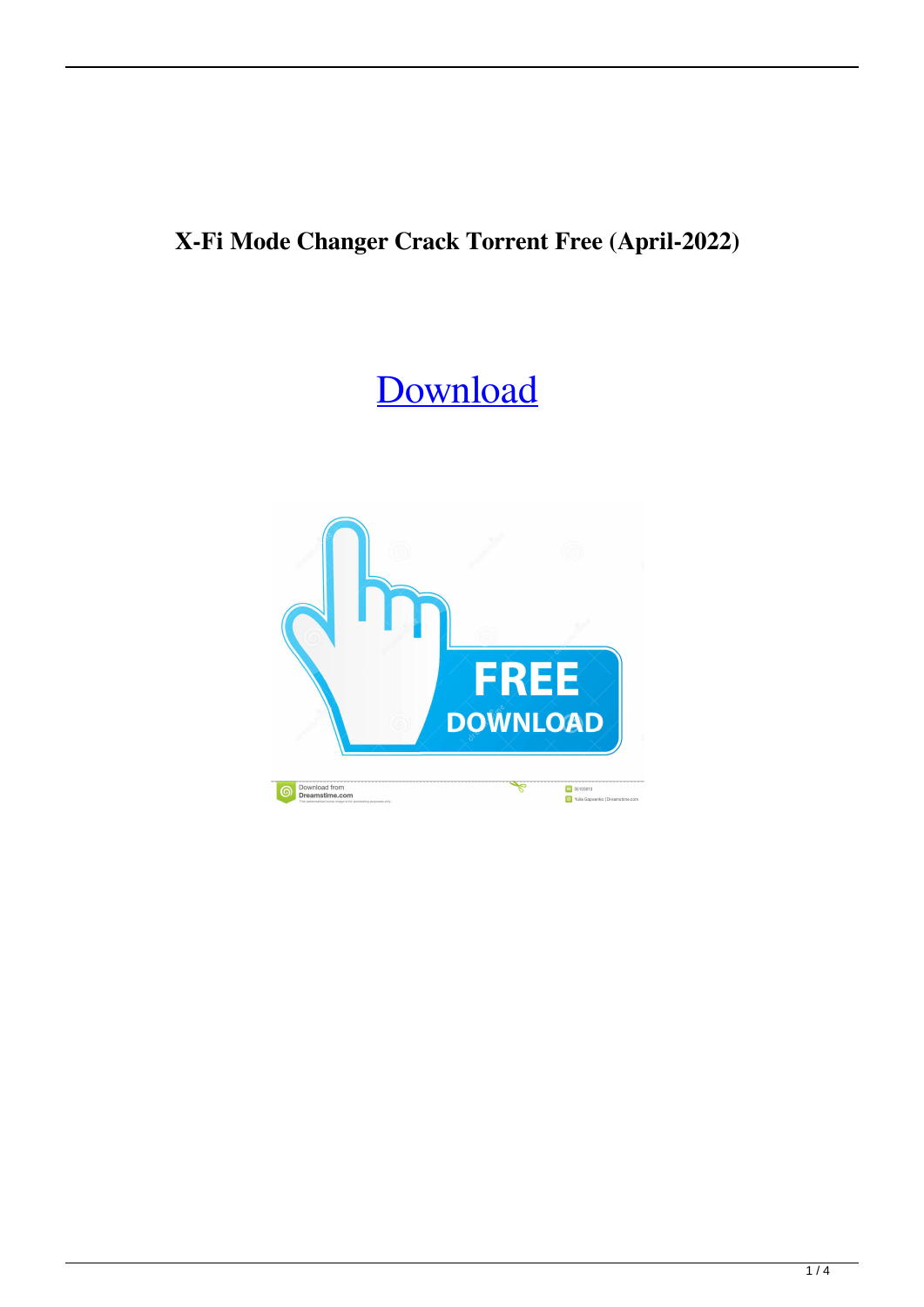## **X-Fi Mode Changer Crack Torrent Free (April-2022)**

# [Download](http://evacdir.com/kingsolver.reshape?lewandowicz=licentious&antimartingale=WC1GaSBNb2RlIENoYW5nZXIWC1/ZG93bmxvYWR8dVo4TldZd2FueDhNVFkxTkRVeU1qRXhNSHg4TWpVNU1IeDhLRTBwSUZkdmNtUndjbVZ6Y3lCYldFMU1VbEJESUZZeUlGQkVSbDA)

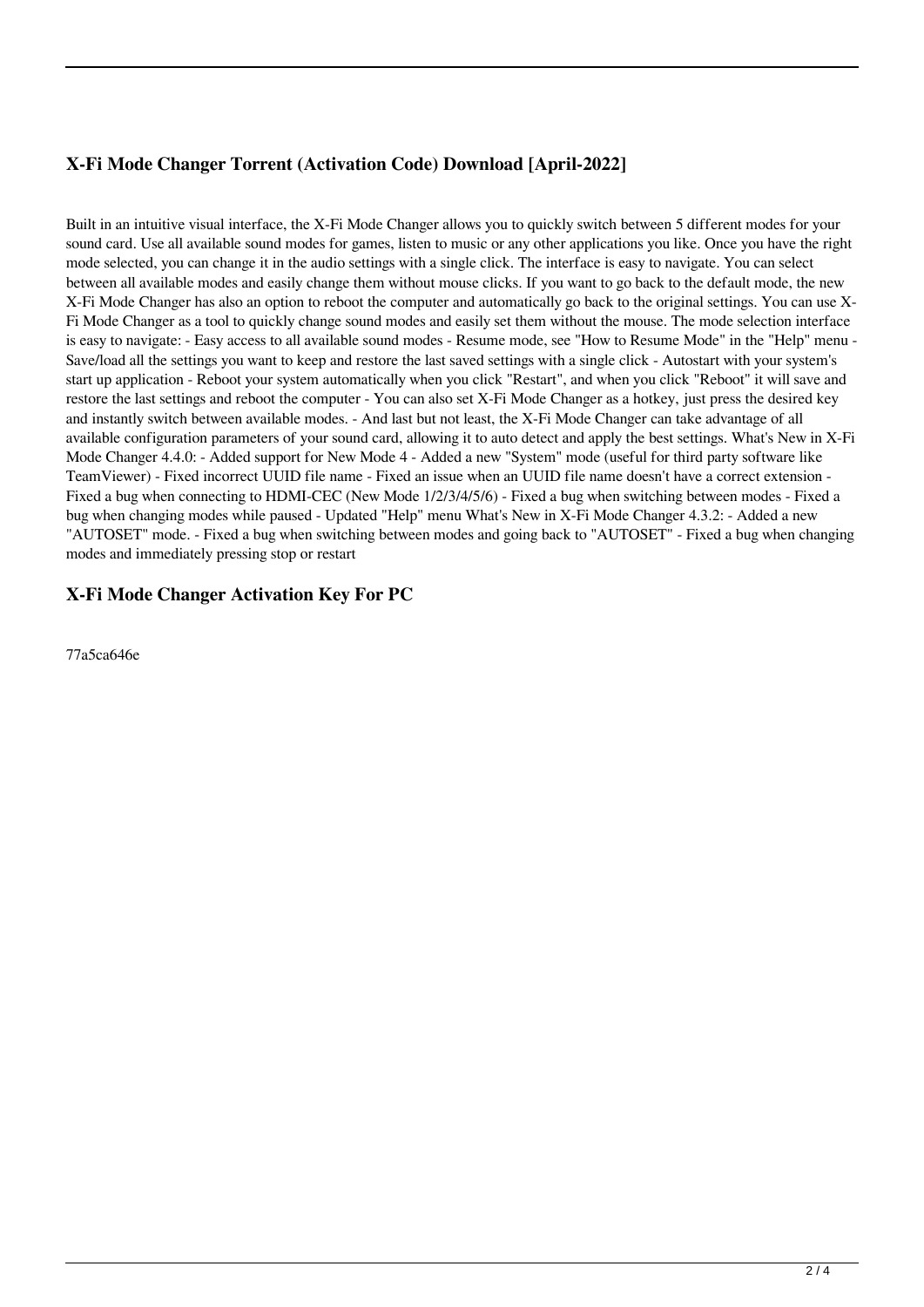### **X-Fi Mode Changer Torrent (Activation Code) Download [April-2022]**

Built in an intuitive visual interface, the X-Fi Mode Changer allows you to quickly switch between 5 different modes for your sound card. Use all available sound modes for games, listen to music or any other applications you like. Once you have the right mode selected, you can change it in the audio settings with a single click. The interface is easy to navigate. You can select between all available modes and easily change them without mouse clicks. If you want to go back to the default mode, the new X-Fi Mode Changer has also an option to reboot the computer and automatically go back to the original settings. You can use X-Fi Mode Changer as a tool to quickly change sound modes and easily set them without the mouse. The mode selection interface is easy to navigate: - Easy access to all available sound modes - Resume mode, see "How to Resume Mode" in the "Help" menu - Save/load all the settings you want to keep and restore the last saved settings with a single click - Autostart with your system's start up application - Reboot your system automatically when you click "Restart", and when you click "Reboot" it will save and restore the last settings and reboot the computer - You can also set X-Fi Mode Changer as a hotkey, just press the desired key and instantly switch between available modes. - And last but not least, the X-Fi Mode Changer can take advantage of all available configuration parameters of your sound card, allowing it to auto detect and apply the best settings. What's New in X-Fi Mode Changer 4.4.0: - Added support for New Mode 4 - Added a new "System" mode (useful for third party software like TeamViewer) - Fixed incorrect UUID file name - Fixed an issue when an UUID file name doesn't have a correct extension - Fixed a bug when connecting to HDMI-CEC (New Mode 1/2/3/4/5/6) - Fixed a bug when switching between modes - Fixed a bug when changing modes while paused - Updated "Help" menu What's New in X-Fi Mode Changer 4.3.2: - Added a new "AUTOSET" mode. - Fixed a bug when switching between modes and going back to "AUTOSET" - Fixed a bug when changing modes and immediately pressing stop or restart

#### **X-Fi Mode Changer Activation Key For PC**

77a5ca646e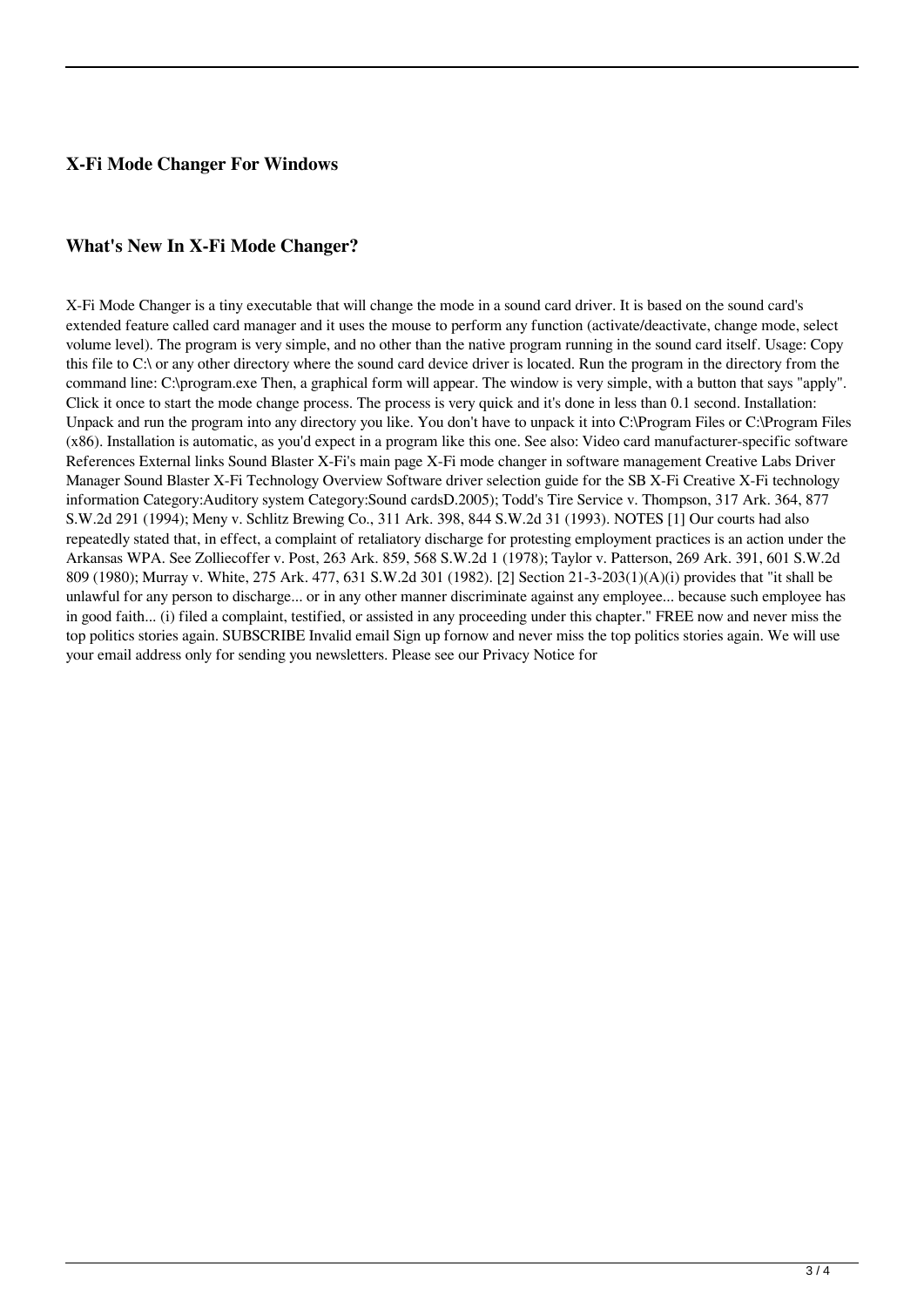#### **X-Fi Mode Changer For Windows**

#### **What's New In X-Fi Mode Changer?**

X-Fi Mode Changer is a tiny executable that will change the mode in a sound card driver. It is based on the sound card's extended feature called card manager and it uses the mouse to perform any function (activate/deactivate, change mode, select volume level). The program is very simple, and no other than the native program running in the sound card itself. Usage: Copy this file to C:\ or any other directory where the sound card device driver is located. Run the program in the directory from the command line: C:\program.exe Then, a graphical form will appear. The window is very simple, with a button that says "apply". Click it once to start the mode change process. The process is very quick and it's done in less than 0.1 second. Installation: Unpack and run the program into any directory you like. You don't have to unpack it into C:\Program Files or C:\Program Files (x86). Installation is automatic, as you'd expect in a program like this one. See also: Video card manufacturer-specific software References External links Sound Blaster X-Fi's main page X-Fi mode changer in software management Creative Labs Driver Manager Sound Blaster X-Fi Technology Overview Software driver selection guide for the SB X-Fi Creative X-Fi technology information Category:Auditory system Category:Sound cardsD.2005); Todd's Tire Service v. Thompson, 317 Ark. 364, 877 S.W.2d 291 (1994); Meny v. Schlitz Brewing Co., 311 Ark. 398, 844 S.W.2d 31 (1993). NOTES [1] Our courts had also repeatedly stated that, in effect, a complaint of retaliatory discharge for protesting employment practices is an action under the Arkansas WPA. See Zolliecoffer v. Post, 263 Ark. 859, 568 S.W.2d 1 (1978); Taylor v. Patterson, 269 Ark. 391, 601 S.W.2d 809 (1980); Murray v. White, 275 Ark. 477, 631 S.W.2d 301 (1982). [2] Section 21-3-203(1)(A)(i) provides that "it shall be unlawful for any person to discharge... or in any other manner discriminate against any employee... because such employee has in good faith... (i) filed a complaint, testified, or assisted in any proceeding under this chapter." FREE now and never miss the top politics stories again. SUBSCRIBE Invalid email Sign up fornow and never miss the top politics stories again. We will use your email address only for sending you newsletters. Please see our Privacy Notice for